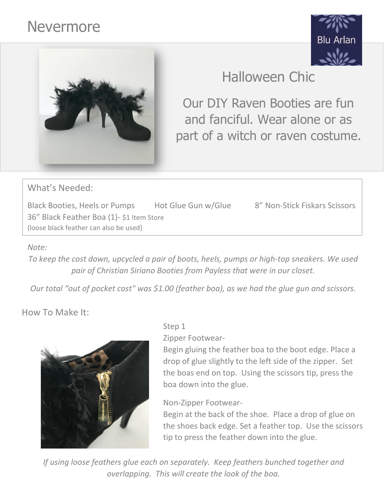# Nevermore





# Halloween Chic

Our DIY Raven Booties are fun and fanciful. Wear alone or as part of a witch or raven costume.

What's Needed:

Black Booties, Heels or Pumps Hot Glue Gun w/Glue 8" Non-Stick Fiskars Scissors 36" Black Feather Boa (1)- \$1 Item Store (loose black feather can also be used)

#### *Note:*

*To keep the cost down, upcycled a pair of boots, heels, pumps or high-top sneakers. We used pair of Christian Siriano Booties from Payless that were in our closet.* 

*Our total "out of pocket cost" was \$1.00 (feather boa), as we had the glue gun and scissors.*

How To Make It:



#### Step 1

Zipper Footwear-

Begin gluing the feather boa to the boot edge. Place a drop of glue slightly to the left side of the zipper. Set the boas end on top. Using the scissors tip, press the boa down into the glue.

### Non-Zipper Footwear-

Begin at the back of the shoe. Place a drop of glue on the shoes back edge. Set a feather top. Use the scissors tip to press the feather down into the glue.

*If using loose feathers glue each on separately. Keep feathers bunched together and overlapping. This will create the look of the boa.*